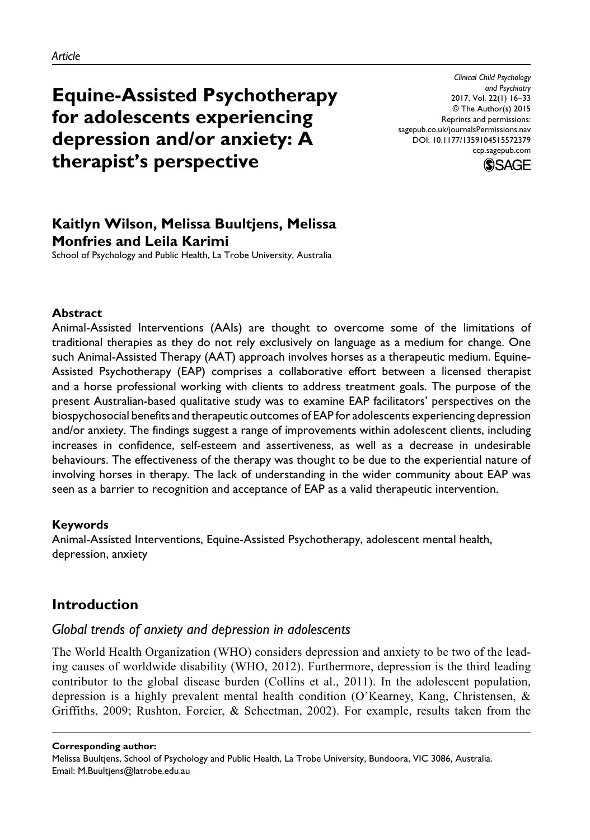# **Equine-Assisted Psychotherapy for adolescents experiencing depression and/or anxiety: A therapist's perspective**

*Clinical Child Psychology and Psychiatry* 2017, Vol. 22(1) 16–33 © The Author(s) 2015 Reprints and permissions: [sagepub.co.uk/journalsPermissions.nav](http://uk.sagepub.com/en-gb/journals-permissions) [DOI: 10.1177/1359104515572379](https://doi.org/10.1177/1359104515572379) [ccp.sagepub.com](https://ccp.sagepub.com)



# **Kaitlyn Wilson, Melissa Buultjens, Melissa Monfries and Leila Karimi**

School of Psychology and Public Health, La Trobe University, Australia

# **Abstract**

Animal-Assisted Interventions (AAIs) are thought to overcome some of the limitations of traditional therapies as they do not rely exclusively on language as a medium for change. One such Animal-Assisted Therapy (AAT) approach involves horses as a therapeutic medium. Equine-Assisted Psychotherapy (EAP) comprises a collaborative effort between a licensed therapist and a horse professional working with clients to address treatment goals. The purpose of the present Australian-based qualitative study was to examine EAP facilitators' perspectives on the biospychosocial benefits and therapeutic outcomes of EAP for adolescents experiencing depression and/or anxiety. The findings suggest a range of improvements within adolescent clients, including increases in confidence, self-esteem and assertiveness, as well as a decrease in undesirable behaviours. The effectiveness of the therapy was thought to be due to the experiential nature of involving horses in therapy. The lack of understanding in the wider community about EAP was seen as a barrier to recognition and acceptance of EAP as a valid therapeutic intervention.

### **Keywords**

Animal-Assisted Interventions, Equine-Assisted Psychotherapy, adolescent mental health, depression, anxiety

# **Introduction**

# *Global trends of anxiety and depression in adolescents*

The World Health Organization (WHO) considers depression and anxiety to be two of the leading causes of worldwide disability (WHO, 2012). Furthermore, depression is the third leading contributor to the global disease burden (Collins et al., 2011). In the adolescent population, depression is a highly prevalent mental health condition (O'Kearney, Kang, Christensen, & Griffiths, 2009; Rushton, Forcier, & Schectman, 2002). For example, results taken from the

#### **Corresponding author:**

Melissa Buultjens, School of Psychology and Public Health, La Trobe University, Bundoora, VIC 3086, Australia. Email: [M.Buultjens@latrobe.edu.au](mailto:M.Buultjens@latrobe.edu.au)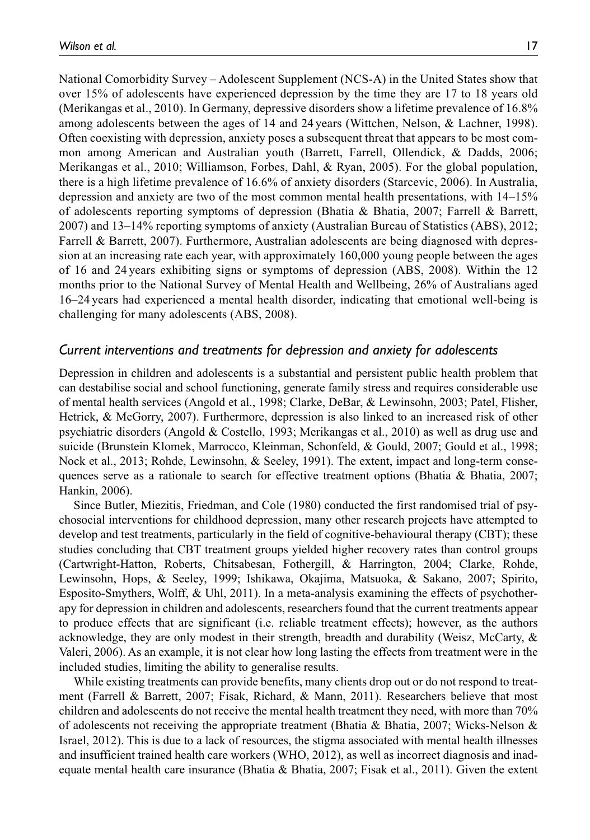National Comorbidity Survey – Adolescent Supplement (NCS-A) in the United States show that over 15% of adolescents have experienced depression by the time they are 17 to 18 years old (Merikangas et al., 2010). In Germany, depressive disorders show a lifetime prevalence of 16.8% among adolescents between the ages of 14 and 24 years (Wittchen, Nelson, & Lachner, 1998). Often coexisting with depression, anxiety poses a subsequent threat that appears to be most common among American and Australian youth (Barrett, Farrell, Ollendick, & Dadds, 2006; Merikangas et al., 2010; Williamson, Forbes, Dahl, & Ryan, 2005). For the global population, there is a high lifetime prevalence of 16.6% of anxiety disorders (Starcevic, 2006). In Australia, depression and anxiety are two of the most common mental health presentations, with 14–15% of adolescents reporting symptoms of depression (Bhatia & Bhatia, 2007; Farrell & Barrett, 2007) and 13–14% reporting symptoms of anxiety (Australian Bureau of Statistics (ABS), 2012; Farrell & Barrett, 2007). Furthermore, Australian adolescents are being diagnosed with depression at an increasing rate each year, with approximately 160,000 young people between the ages of 16 and 24 years exhibiting signs or symptoms of depression (ABS, 2008). Within the 12 months prior to the National Survey of Mental Health and Wellbeing, 26% of Australians aged 16–24 years had experienced a mental health disorder, indicating that emotional well-being is challenging for many adolescents (ABS, 2008).

### *Current interventions and treatments for depression and anxiety for adolescents*

Depression in children and adolescents is a substantial and persistent public health problem that can destabilise social and school functioning, generate family stress and requires considerable use of mental health services (Angold et al., 1998; Clarke, DeBar, & Lewinsohn, 2003; Patel, Flisher, Hetrick, & McGorry, 2007). Furthermore, depression is also linked to an increased risk of other psychiatric disorders (Angold & Costello, 1993; Merikangas et al., 2010) as well as drug use and suicide (Brunstein Klomek, Marrocco, Kleinman, Schonfeld, & Gould, 2007; Gould et al., 1998; Nock et al., 2013; Rohde, Lewinsohn, & Seeley, 1991). The extent, impact and long-term consequences serve as a rationale to search for effective treatment options (Bhatia & Bhatia, 2007; Hankin, 2006).

Since Butler, Miezitis, Friedman, and Cole (1980) conducted the first randomised trial of psychosocial interventions for childhood depression, many other research projects have attempted to develop and test treatments, particularly in the field of cognitive-behavioural therapy (CBT); these studies concluding that CBT treatment groups yielded higher recovery rates than control groups (Cartwright-Hatton, Roberts, Chitsabesan, Fothergill, & Harrington, 2004; Clarke, Rohde, Lewinsohn, Hops, & Seeley, 1999; Ishikawa, Okajima, Matsuoka, & Sakano, 2007; Spirito, Esposito-Smythers, Wolff, & Uhl, 2011). In a meta-analysis examining the effects of psychotherapy for depression in children and adolescents, researchers found that the current treatments appear to produce effects that are significant (i.e. reliable treatment effects); however, as the authors acknowledge, they are only modest in their strength, breadth and durability (Weisz, McCarty, & Valeri, 2006). As an example, it is not clear how long lasting the effects from treatment were in the included studies, limiting the ability to generalise results.

While existing treatments can provide benefits, many clients drop out or do not respond to treatment (Farrell & Barrett, 2007; Fisak, Richard, & Mann, 2011). Researchers believe that most children and adolescents do not receive the mental health treatment they need, with more than 70% of adolescents not receiving the appropriate treatment (Bhatia & Bhatia, 2007; Wicks-Nelson & Israel, 2012). This is due to a lack of resources, the stigma associated with mental health illnesses and insufficient trained health care workers (WHO, 2012), as well as incorrect diagnosis and inadequate mental health care insurance (Bhatia & Bhatia, 2007; Fisak et al., 2011). Given the extent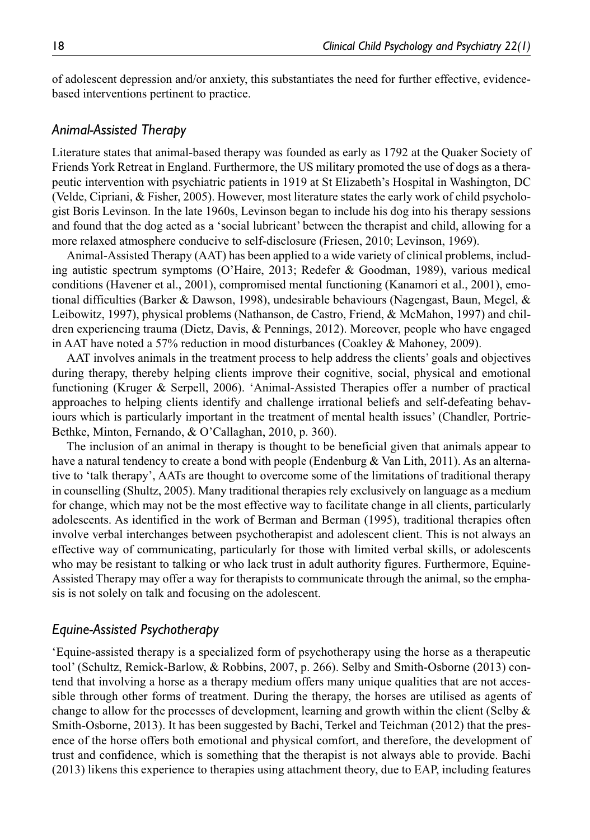of adolescent depression and/or anxiety, this substantiates the need for further effective, evidencebased interventions pertinent to practice.

### *Animal-Assisted Therapy*

Literature states that animal-based therapy was founded as early as 1792 at the Quaker Society of Friends York Retreat in England. Furthermore, the US military promoted the use of dogs as a therapeutic intervention with psychiatric patients in 1919 at St Elizabeth's Hospital in Washington, DC (Velde, Cipriani, & Fisher, 2005). However, most literature states the early work of child psychologist Boris Levinson. In the late 1960s, Levinson began to include his dog into his therapy sessions and found that the dog acted as a 'social lubricant' between the therapist and child, allowing for a more relaxed atmosphere conducive to self-disclosure (Friesen, 2010; Levinson, 1969).

Animal-Assisted Therapy (AAT) has been applied to a wide variety of clinical problems, including autistic spectrum symptoms (O'Haire, 2013; Redefer & Goodman, 1989), various medical conditions (Havener et al., 2001), compromised mental functioning (Kanamori et al., 2001), emotional difficulties (Barker & Dawson, 1998), undesirable behaviours (Nagengast, Baun, Megel, & Leibowitz, 1997), physical problems (Nathanson, de Castro, Friend, & McMahon, 1997) and children experiencing trauma (Dietz, Davis, & Pennings, 2012). Moreover, people who have engaged in AAT have noted a 57% reduction in mood disturbances (Coakley & Mahoney, 2009).

AAT involves animals in the treatment process to help address the clients' goals and objectives during therapy, thereby helping clients improve their cognitive, social, physical and emotional functioning (Kruger & Serpell, 2006). 'Animal-Assisted Therapies offer a number of practical approaches to helping clients identify and challenge irrational beliefs and self-defeating behaviours which is particularly important in the treatment of mental health issues' (Chandler, Portrie-Bethke, Minton, Fernando, & O'Callaghan, 2010, p. 360).

The inclusion of an animal in therapy is thought to be beneficial given that animals appear to have a natural tendency to create a bond with people (Endenburg & Van Lith, 2011). As an alternative to 'talk therapy', AATs are thought to overcome some of the limitations of traditional therapy in counselling (Shultz, 2005). Many traditional therapies rely exclusively on language as a medium for change, which may not be the most effective way to facilitate change in all clients, particularly adolescents. As identified in the work of Berman and Berman (1995), traditional therapies often involve verbal interchanges between psychotherapist and adolescent client. This is not always an effective way of communicating, particularly for those with limited verbal skills, or adolescents who may be resistant to talking or who lack trust in adult authority figures. Furthermore, Equine-Assisted Therapy may offer a way for therapists to communicate through the animal, so the emphasis is not solely on talk and focusing on the adolescent.

### *Equine-Assisted Psychotherapy*

'Equine-assisted therapy is a specialized form of psychotherapy using the horse as a therapeutic tool' (Schultz, Remick-Barlow, & Robbins, 2007, p. 266). Selby and Smith-Osborne (2013) contend that involving a horse as a therapy medium offers many unique qualities that are not accessible through other forms of treatment. During the therapy, the horses are utilised as agents of change to allow for the processes of development, learning and growth within the client (Selby & Smith-Osborne, 2013). It has been suggested by Bachi, Terkel and Teichman (2012) that the presence of the horse offers both emotional and physical comfort, and therefore, the development of trust and confidence, which is something that the therapist is not always able to provide. Bachi (2013) likens this experience to therapies using attachment theory, due to EAP, including features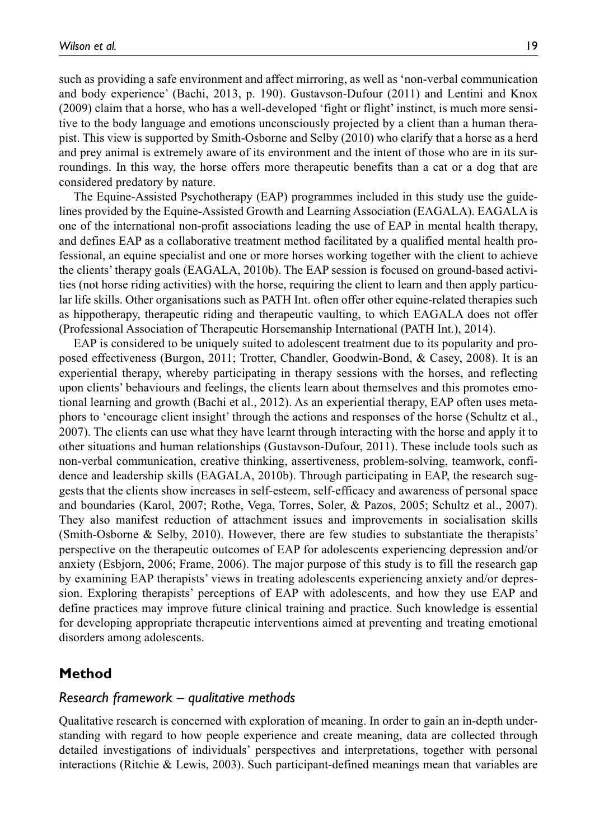such as providing a safe environment and affect mirroring, as well as 'non-verbal communication and body experience' (Bachi, 2013, p. 190). Gustavson-Dufour (2011) and Lentini and Knox (2009) claim that a horse, who has a well-developed 'fight or flight' instinct, is much more sensitive to the body language and emotions unconsciously projected by a client than a human therapist. This view is supported by Smith-Osborne and Selby (2010) who clarify that a horse as a herd and prey animal is extremely aware of its environment and the intent of those who are in its surroundings. In this way, the horse offers more therapeutic benefits than a cat or a dog that are considered predatory by nature.

The Equine-Assisted Psychotherapy (EAP) programmes included in this study use the guidelines provided by the Equine-Assisted Growth and Learning Association (EAGALA). EAGALA is one of the international non-profit associations leading the use of EAP in mental health therapy, and defines EAP as a collaborative treatment method facilitated by a qualified mental health professional, an equine specialist and one or more horses working together with the client to achieve the clients' therapy goals (EAGALA, 2010b). The EAP session is focused on ground-based activities (not horse riding activities) with the horse, requiring the client to learn and then apply particular life skills. Other organisations such as PATH Int. often offer other equine-related therapies such as hippotherapy, therapeutic riding and therapeutic vaulting, to which EAGALA does not offer (Professional Association of Therapeutic Horsemanship International (PATH Int.), 2014).

EAP is considered to be uniquely suited to adolescent treatment due to its popularity and proposed effectiveness (Burgon, 2011; Trotter, Chandler, Goodwin-Bond, & Casey, 2008). It is an experiential therapy, whereby participating in therapy sessions with the horses, and reflecting upon clients' behaviours and feelings, the clients learn about themselves and this promotes emotional learning and growth (Bachi et al., 2012). As an experiential therapy, EAP often uses metaphors to 'encourage client insight' through the actions and responses of the horse (Schultz et al., 2007). The clients can use what they have learnt through interacting with the horse and apply it to other situations and human relationships (Gustavson-Dufour, 2011). These include tools such as non-verbal communication, creative thinking, assertiveness, problem-solving, teamwork, confidence and leadership skills (EAGALA, 2010b). Through participating in EAP, the research suggests that the clients show increases in self-esteem, self-efficacy and awareness of personal space and boundaries (Karol, 2007; Rothe, Vega, Torres, Soler, & Pazos, 2005; Schultz et al., 2007). They also manifest reduction of attachment issues and improvements in socialisation skills (Smith-Osborne & Selby, 2010). However, there are few studies to substantiate the therapists' perspective on the therapeutic outcomes of EAP for adolescents experiencing depression and/or anxiety (Esbjorn, 2006; Frame, 2006). The major purpose of this study is to fill the research gap by examining EAP therapists' views in treating adolescents experiencing anxiety and/or depression. Exploring therapists' perceptions of EAP with adolescents, and how they use EAP and define practices may improve future clinical training and practice. Such knowledge is essential for developing appropriate therapeutic interventions aimed at preventing and treating emotional disorders among adolescents.

### **Method**

### *Research framework – qualitative methods*

Qualitative research is concerned with exploration of meaning. In order to gain an in-depth understanding with regard to how people experience and create meaning, data are collected through detailed investigations of individuals' perspectives and interpretations, together with personal interactions (Ritchie & Lewis, 2003). Such participant-defined meanings mean that variables are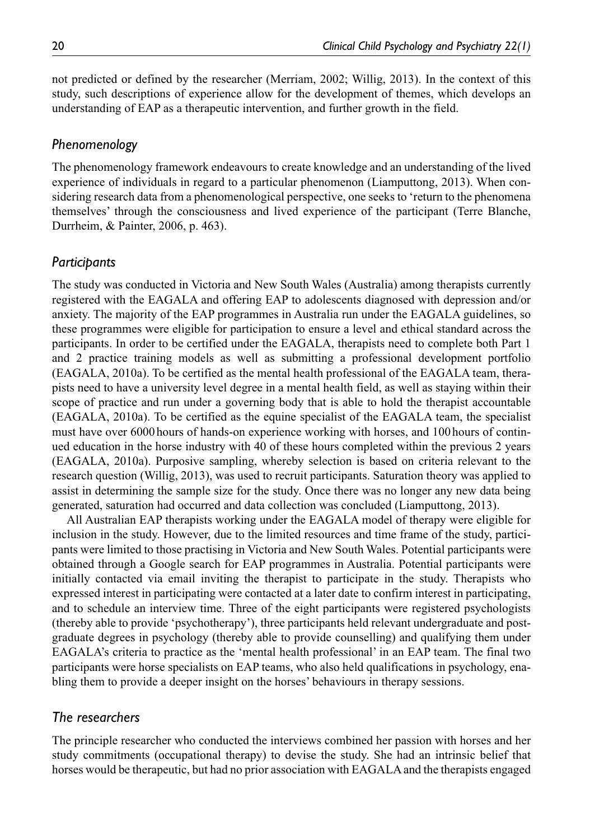not predicted or defined by the researcher (Merriam, 2002; Willig, 2013). In the context of this study, such descriptions of experience allow for the development of themes, which develops an understanding of EAP as a therapeutic intervention, and further growth in the field.

# *Phenomenology*

The phenomenology framework endeavours to create knowledge and an understanding of the lived experience of individuals in regard to a particular phenomenon (Liamputtong, 2013). When considering research data from a phenomenological perspective, one seeks to 'return to the phenomena themselves' through the consciousness and lived experience of the participant (Terre Blanche, Durrheim, & Painter, 2006, p. 463).

# *Participants*

The study was conducted in Victoria and New South Wales (Australia) among therapists currently registered with the EAGALA and offering EAP to adolescents diagnosed with depression and/or anxiety. The majority of the EAP programmes in Australia run under the EAGALA guidelines, so these programmes were eligible for participation to ensure a level and ethical standard across the participants. In order to be certified under the EAGALA, therapists need to complete both Part 1 and 2 practice training models as well as submitting a professional development portfolio (EAGALA, 2010a). To be certified as the mental health professional of the EAGALA team, therapists need to have a university level degree in a mental health field, as well as staying within their scope of practice and run under a governing body that is able to hold the therapist accountable (EAGALA, 2010a). To be certified as the equine specialist of the EAGALA team, the specialist must have over 6000 hours of hands-on experience working with horses, and 100hours of continued education in the horse industry with 40 of these hours completed within the previous 2 years (EAGALA, 2010a). Purposive sampling, whereby selection is based on criteria relevant to the research question (Willig, 2013), was used to recruit participants. Saturation theory was applied to assist in determining the sample size for the study. Once there was no longer any new data being generated, saturation had occurred and data collection was concluded (Liamputtong, 2013).

All Australian EAP therapists working under the EAGALA model of therapy were eligible for inclusion in the study. However, due to the limited resources and time frame of the study, participants were limited to those practising in Victoria and New South Wales. Potential participants were obtained through a Google search for EAP programmes in Australia. Potential participants were initially contacted via email inviting the therapist to participate in the study. Therapists who expressed interest in participating were contacted at a later date to confirm interest in participating, and to schedule an interview time. Three of the eight participants were registered psychologists (thereby able to provide 'psychotherapy'), three participants held relevant undergraduate and postgraduate degrees in psychology (thereby able to provide counselling) and qualifying them under EAGALA's criteria to practice as the 'mental health professional' in an EAP team. The final two participants were horse specialists on EAP teams, who also held qualifications in psychology, enabling them to provide a deeper insight on the horses' behaviours in therapy sessions.

# *The researchers*

The principle researcher who conducted the interviews combined her passion with horses and her study commitments (occupational therapy) to devise the study. She had an intrinsic belief that horses would be therapeutic, but had no prior association with EAGALA and the therapists engaged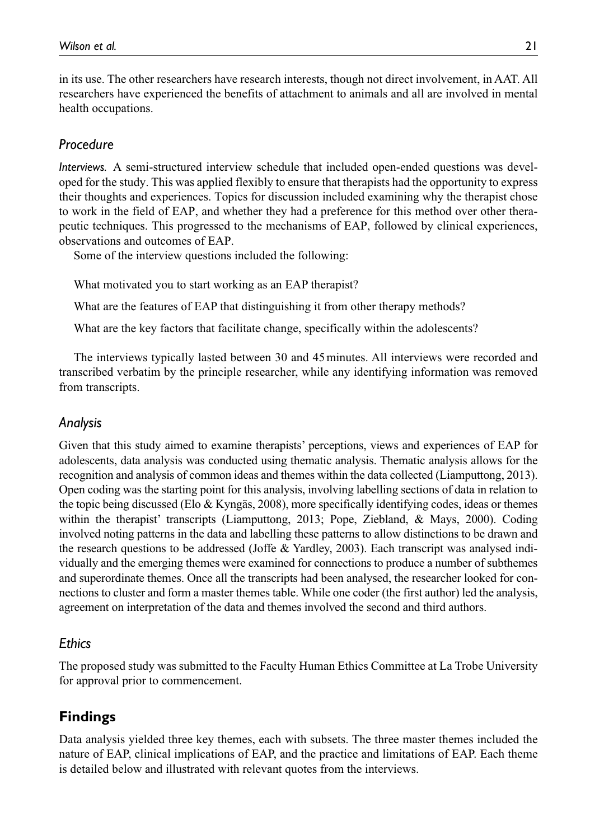in its use. The other researchers have research interests, though not direct involvement, in AAT. All researchers have experienced the benefits of attachment to animals and all are involved in mental health occupations.

# *Procedure*

*Interviews.* A semi-structured interview schedule that included open-ended questions was developed for the study. This was applied flexibly to ensure that therapists had the opportunity to express their thoughts and experiences. Topics for discussion included examining why the therapist chose to work in the field of EAP, and whether they had a preference for this method over other therapeutic techniques. This progressed to the mechanisms of EAP, followed by clinical experiences, observations and outcomes of EAP.

Some of the interview questions included the following:

What motivated you to start working as an EAP therapist?

What are the features of EAP that distinguishing it from other therapy methods?

What are the key factors that facilitate change, specifically within the adolescents?

The interviews typically lasted between 30 and 45minutes. All interviews were recorded and transcribed verbatim by the principle researcher, while any identifying information was removed from transcripts.

### *Analysis*

Given that this study aimed to examine therapists' perceptions, views and experiences of EAP for adolescents, data analysis was conducted using thematic analysis. Thematic analysis allows for the recognition and analysis of common ideas and themes within the data collected (Liamputtong, 2013). Open coding was the starting point for this analysis, involving labelling sections of data in relation to the topic being discussed (Elo & Kyngäs, 2008), more specifically identifying codes, ideas or themes within the therapist' transcripts (Liamputtong, 2013; Pope, Ziebland, & Mays, 2000). Coding involved noting patterns in the data and labelling these patterns to allow distinctions to be drawn and the research questions to be addressed (Joffe & Yardley, 2003). Each transcript was analysed individually and the emerging themes were examined for connections to produce a number of subthemes and superordinate themes. Once all the transcripts had been analysed, the researcher looked for connections to cluster and form a master themes table. While one coder (the first author) led the analysis, agreement on interpretation of the data and themes involved the second and third authors.

### *Ethics*

The proposed study was submitted to the Faculty Human Ethics Committee at La Trobe University for approval prior to commencement.

# **Findings**

Data analysis yielded three key themes, each with subsets. The three master themes included the nature of EAP, clinical implications of EAP, and the practice and limitations of EAP. Each theme is detailed below and illustrated with relevant quotes from the interviews.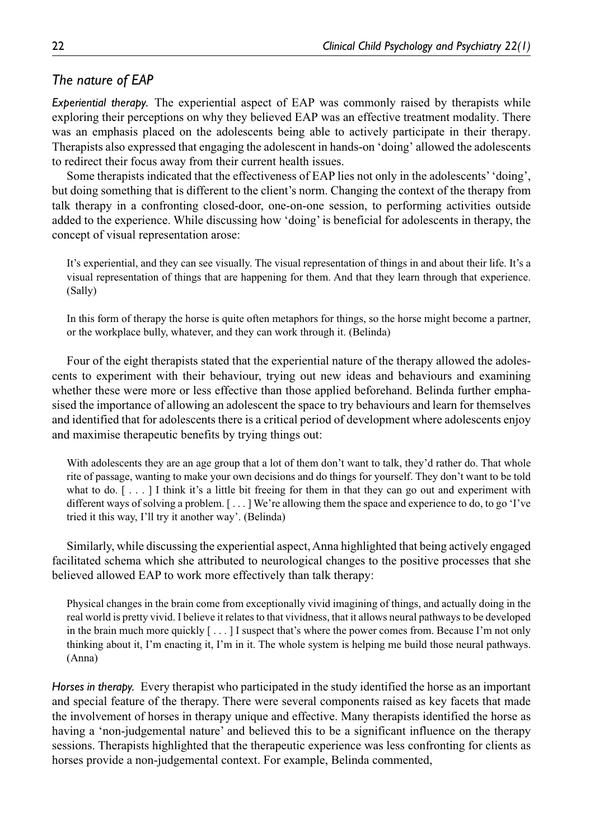# *The nature of EAP*

*Experiential therapy.* The experiential aspect of EAP was commonly raised by therapists while exploring their perceptions on why they believed EAP was an effective treatment modality. There was an emphasis placed on the adolescents being able to actively participate in their therapy. Therapists also expressed that engaging the adolescent in hands-on 'doing' allowed the adolescents to redirect their focus away from their current health issues.

Some therapists indicated that the effectiveness of EAP lies not only in the adolescents' 'doing', but doing something that is different to the client's norm. Changing the context of the therapy from talk therapy in a confronting closed-door, one-on-one session, to performing activities outside added to the experience. While discussing how 'doing' is beneficial for adolescents in therapy, the concept of visual representation arose:

It's experiential, and they can see visually. The visual representation of things in and about their life. It's a visual representation of things that are happening for them. And that they learn through that experience. (Sally)

In this form of therapy the horse is quite often metaphors for things, so the horse might become a partner, or the workplace bully, whatever, and they can work through it. (Belinda)

Four of the eight therapists stated that the experiential nature of the therapy allowed the adolescents to experiment with their behaviour, trying out new ideas and behaviours and examining whether these were more or less effective than those applied beforehand. Belinda further emphasised the importance of allowing an adolescent the space to try behaviours and learn for themselves and identified that for adolescents there is a critical period of development where adolescents enjoy and maximise therapeutic benefits by trying things out:

With adolescents they are an age group that a lot of them don't want to talk, they'd rather do. That whole rite of passage, wanting to make your own decisions and do things for yourself. They don't want to be told what to do. [...] I think it's a little bit freeing for them in that they can go out and experiment with different ways of solving a problem. [ . . . ] We're allowing them the space and experience to do, to go 'I've tried it this way, I'll try it another way'. (Belinda)

Similarly, while discussing the experiential aspect, Anna highlighted that being actively engaged facilitated schema which she attributed to neurological changes to the positive processes that she believed allowed EAP to work more effectively than talk therapy:

Physical changes in the brain come from exceptionally vivid imagining of things, and actually doing in the real world is pretty vivid. I believe it relates to that vividness, that it allows neural pathways to be developed in the brain much more quickly [ . . . ] I suspect that's where the power comes from. Because I'm not only thinking about it, I'm enacting it, I'm in it. The whole system is helping me build those neural pathways. (Anna)

*Horses in therapy.* Every therapist who participated in the study identified the horse as an important and special feature of the therapy. There were several components raised as key facets that made the involvement of horses in therapy unique and effective. Many therapists identified the horse as having a 'non-judgemental nature' and believed this to be a significant influence on the therapy sessions. Therapists highlighted that the therapeutic experience was less confronting for clients as horses provide a non-judgemental context. For example, Belinda commented,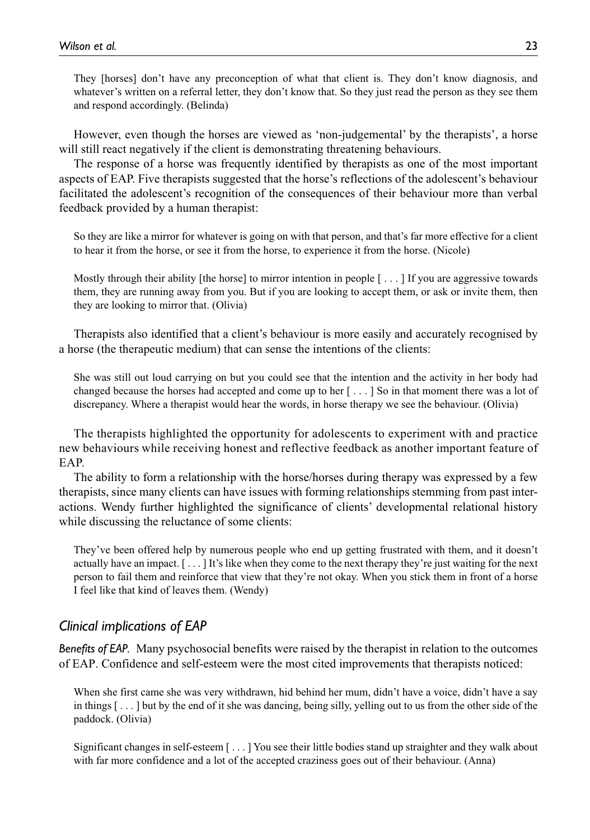They [horses] don't have any preconception of what that client is. They don't know diagnosis, and whatever's written on a referral letter, they don't know that. So they just read the person as they see them and respond accordingly. (Belinda)

However, even though the horses are viewed as 'non-judgemental' by the therapists', a horse will still react negatively if the client is demonstrating threatening behaviours.

The response of a horse was frequently identified by therapists as one of the most important aspects of EAP. Five therapists suggested that the horse's reflections of the adolescent's behaviour facilitated the adolescent's recognition of the consequences of their behaviour more than verbal feedback provided by a human therapist:

So they are like a mirror for whatever is going on with that person, and that's far more effective for a client to hear it from the horse, or see it from the horse, to experience it from the horse. (Nicole)

Mostly through their ability [the horse] to mirror intention in people [...] If you are aggressive towards them, they are running away from you. But if you are looking to accept them, or ask or invite them, then they are looking to mirror that. (Olivia)

Therapists also identified that a client's behaviour is more easily and accurately recognised by a horse (the therapeutic medium) that can sense the intentions of the clients:

She was still out loud carrying on but you could see that the intention and the activity in her body had changed because the horses had accepted and come up to her [ . . . ] So in that moment there was a lot of discrepancy. Where a therapist would hear the words, in horse therapy we see the behaviour. (Olivia)

The therapists highlighted the opportunity for adolescents to experiment with and practice new behaviours while receiving honest and reflective feedback as another important feature of EAP.

The ability to form a relationship with the horse/horses during therapy was expressed by a few therapists, since many clients can have issues with forming relationships stemming from past interactions. Wendy further highlighted the significance of clients' developmental relational history while discussing the reluctance of some clients:

They've been offered help by numerous people who end up getting frustrated with them, and it doesn't actually have an impact.  $[\,\ldots\,]$  It's like when they come to the next therapy they're just waiting for the next person to fail them and reinforce that view that they're not okay. When you stick them in front of a horse I feel like that kind of leaves them. (Wendy)

### *Clinical implications of EAP*

*Benefits of EAP.* Many psychosocial benefits were raised by the therapist in relation to the outcomes of EAP. Confidence and self-esteem were the most cited improvements that therapists noticed:

When she first came she was very withdrawn, hid behind her mum, didn't have a voice, didn't have a say in things [ . . . ] but by the end of it she was dancing, being silly, yelling out to us from the other side of the paddock. (Olivia)

Significant changes in self-esteem [ . . . ] You see their little bodies stand up straighter and they walk about with far more confidence and a lot of the accepted craziness goes out of their behaviour. (Anna)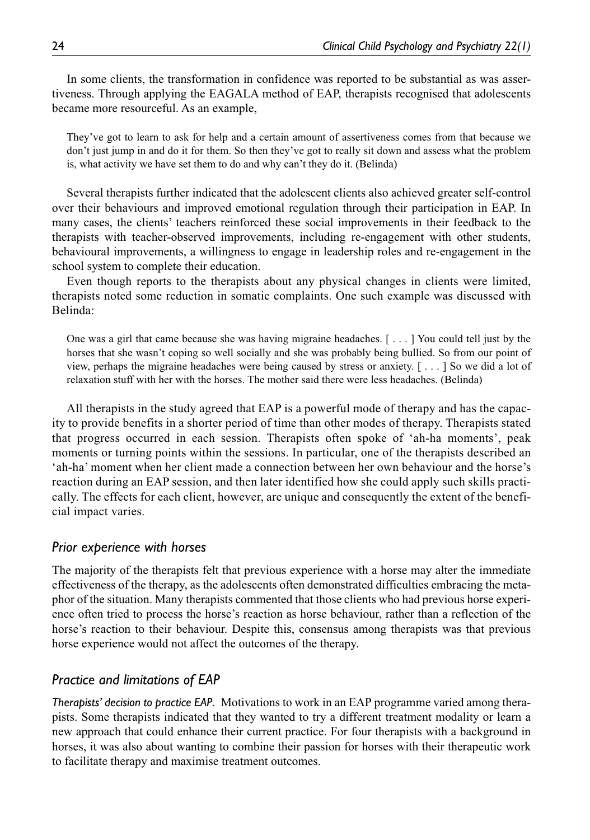In some clients, the transformation in confidence was reported to be substantial as was assertiveness. Through applying the EAGALA method of EAP, therapists recognised that adolescents became more resourceful. As an example,

They've got to learn to ask for help and a certain amount of assertiveness comes from that because we don't just jump in and do it for them. So then they've got to really sit down and assess what the problem is, what activity we have set them to do and why can't they do it. (Belinda)

Several therapists further indicated that the adolescent clients also achieved greater self-control over their behaviours and improved emotional regulation through their participation in EAP. In many cases, the clients' teachers reinforced these social improvements in their feedback to the therapists with teacher-observed improvements, including re-engagement with other students, behavioural improvements, a willingness to engage in leadership roles and re-engagement in the school system to complete their education.

Even though reports to the therapists about any physical changes in clients were limited, therapists noted some reduction in somatic complaints. One such example was discussed with Belinda:

One was a girl that came because she was having migraine headaches. [ . . . ] You could tell just by the horses that she wasn't coping so well socially and she was probably being bullied. So from our point of view, perhaps the migraine headaches were being caused by stress or anxiety. [ . . . ] So we did a lot of relaxation stuff with her with the horses. The mother said there were less headaches. (Belinda)

All therapists in the study agreed that EAP is a powerful mode of therapy and has the capacity to provide benefits in a shorter period of time than other modes of therapy. Therapists stated that progress occurred in each session. Therapists often spoke of 'ah-ha moments', peak moments or turning points within the sessions. In particular, one of the therapists described an 'ah-ha' moment when her client made a connection between her own behaviour and the horse's reaction during an EAP session, and then later identified how she could apply such skills practically. The effects for each client, however, are unique and consequently the extent of the beneficial impact varies.

### *Prior experience with horses*

The majority of the therapists felt that previous experience with a horse may alter the immediate effectiveness of the therapy, as the adolescents often demonstrated difficulties embracing the metaphor of the situation. Many therapists commented that those clients who had previous horse experience often tried to process the horse's reaction as horse behaviour, rather than a reflection of the horse's reaction to their behaviour. Despite this, consensus among therapists was that previous horse experience would not affect the outcomes of the therapy.

# *Practice and limitations of EAP*

*Therapists' decision to practice EAP.* Motivations to work in an EAP programme varied among therapists. Some therapists indicated that they wanted to try a different treatment modality or learn a new approach that could enhance their current practice. For four therapists with a background in horses, it was also about wanting to combine their passion for horses with their therapeutic work to facilitate therapy and maximise treatment outcomes.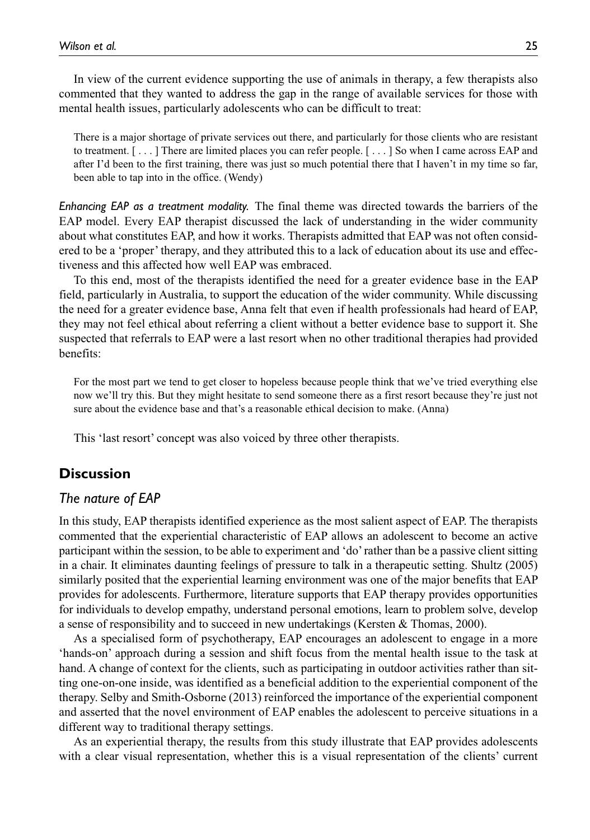In view of the current evidence supporting the use of animals in therapy, a few therapists also commented that they wanted to address the gap in the range of available services for those with mental health issues, particularly adolescents who can be difficult to treat:

There is a major shortage of private services out there, and particularly for those clients who are resistant to treatment. [ . . . ] There are limited places you can refer people. [ . . . ] So when I came across EAP and after I'd been to the first training, there was just so much potential there that I haven't in my time so far, been able to tap into in the office. (Wendy)

*Enhancing EAP as a treatment modality.* The final theme was directed towards the barriers of the EAP model. Every EAP therapist discussed the lack of understanding in the wider community about what constitutes EAP, and how it works. Therapists admitted that EAP was not often considered to be a 'proper' therapy, and they attributed this to a lack of education about its use and effectiveness and this affected how well EAP was embraced.

To this end, most of the therapists identified the need for a greater evidence base in the EAP field, particularly in Australia, to support the education of the wider community. While discussing the need for a greater evidence base, Anna felt that even if health professionals had heard of EAP, they may not feel ethical about referring a client without a better evidence base to support it. She suspected that referrals to EAP were a last resort when no other traditional therapies had provided benefits:

For the most part we tend to get closer to hopeless because people think that we've tried everything else now we'll try this. But they might hesitate to send someone there as a first resort because they're just not sure about the evidence base and that's a reasonable ethical decision to make. (Anna)

This 'last resort' concept was also voiced by three other therapists.

# **Discussion**

### *The nature of EAP*

In this study, EAP therapists identified experience as the most salient aspect of EAP. The therapists commented that the experiential characteristic of EAP allows an adolescent to become an active participant within the session, to be able to experiment and 'do' rather than be a passive client sitting in a chair. It eliminates daunting feelings of pressure to talk in a therapeutic setting. Shultz (2005) similarly posited that the experiential learning environment was one of the major benefits that EAP provides for adolescents. Furthermore, literature supports that EAP therapy provides opportunities for individuals to develop empathy, understand personal emotions, learn to problem solve, develop a sense of responsibility and to succeed in new undertakings (Kersten & Thomas, 2000).

As a specialised form of psychotherapy, EAP encourages an adolescent to engage in a more 'hands-on' approach during a session and shift focus from the mental health issue to the task at hand. A change of context for the clients, such as participating in outdoor activities rather than sitting one-on-one inside, was identified as a beneficial addition to the experiential component of the therapy. Selby and Smith-Osborne (2013) reinforced the importance of the experiential component and asserted that the novel environment of EAP enables the adolescent to perceive situations in a different way to traditional therapy settings.

As an experiential therapy, the results from this study illustrate that EAP provides adolescents with a clear visual representation, whether this is a visual representation of the clients' current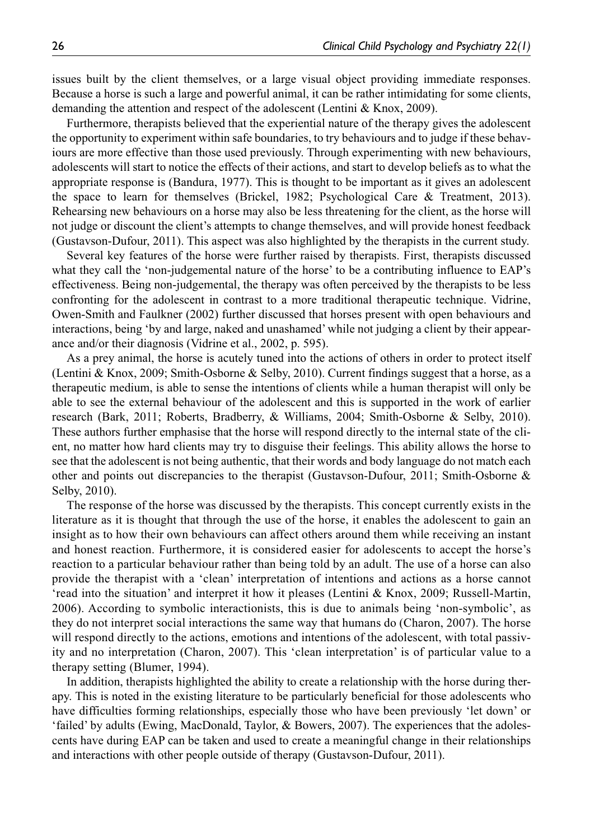issues built by the client themselves, or a large visual object providing immediate responses. Because a horse is such a large and powerful animal, it can be rather intimidating for some clients, demanding the attention and respect of the adolescent (Lentini & Knox, 2009).

Furthermore, therapists believed that the experiential nature of the therapy gives the adolescent the opportunity to experiment within safe boundaries, to try behaviours and to judge if these behaviours are more effective than those used previously. Through experimenting with new behaviours, adolescents will start to notice the effects of their actions, and start to develop beliefs as to what the appropriate response is (Bandura, 1977). This is thought to be important as it gives an adolescent the space to learn for themselves (Brickel, 1982; Psychological Care & Treatment, 2013). Rehearsing new behaviours on a horse may also be less threatening for the client, as the horse will not judge or discount the client's attempts to change themselves, and will provide honest feedback (Gustavson-Dufour, 2011). This aspect was also highlighted by the therapists in the current study.

Several key features of the horse were further raised by therapists. First, therapists discussed what they call the 'non-judgemental nature of the horse' to be a contributing influence to EAP's effectiveness. Being non-judgemental, the therapy was often perceived by the therapists to be less confronting for the adolescent in contrast to a more traditional therapeutic technique. Vidrine, Owen-Smith and Faulkner (2002) further discussed that horses present with open behaviours and interactions, being 'by and large, naked and unashamed' while not judging a client by their appearance and/or their diagnosis (Vidrine et al., 2002, p. 595).

As a prey animal, the horse is acutely tuned into the actions of others in order to protect itself (Lentini & Knox, 2009; Smith-Osborne & Selby, 2010). Current findings suggest that a horse, as a therapeutic medium, is able to sense the intentions of clients while a human therapist will only be able to see the external behaviour of the adolescent and this is supported in the work of earlier research (Bark, 2011; Roberts, Bradberry, & Williams, 2004; Smith-Osborne & Selby, 2010). These authors further emphasise that the horse will respond directly to the internal state of the client, no matter how hard clients may try to disguise their feelings. This ability allows the horse to see that the adolescent is not being authentic, that their words and body language do not match each other and points out discrepancies to the therapist (Gustavson-Dufour, 2011; Smith-Osborne & Selby, 2010).

The response of the horse was discussed by the therapists. This concept currently exists in the literature as it is thought that through the use of the horse, it enables the adolescent to gain an insight as to how their own behaviours can affect others around them while receiving an instant and honest reaction. Furthermore, it is considered easier for adolescents to accept the horse's reaction to a particular behaviour rather than being told by an adult. The use of a horse can also provide the therapist with a 'clean' interpretation of intentions and actions as a horse cannot 'read into the situation' and interpret it how it pleases (Lentini & Knox, 2009; Russell-Martin, 2006). According to symbolic interactionists, this is due to animals being 'non-symbolic', as they do not interpret social interactions the same way that humans do (Charon, 2007). The horse will respond directly to the actions, emotions and intentions of the adolescent, with total passivity and no interpretation (Charon, 2007). This 'clean interpretation' is of particular value to a therapy setting (Blumer, 1994).

In addition, therapists highlighted the ability to create a relationship with the horse during therapy. This is noted in the existing literature to be particularly beneficial for those adolescents who have difficulties forming relationships, especially those who have been previously 'let down' or 'failed' by adults (Ewing, MacDonald, Taylor, & Bowers, 2007). The experiences that the adolescents have during EAP can be taken and used to create a meaningful change in their relationships and interactions with other people outside of therapy (Gustavson-Dufour, 2011).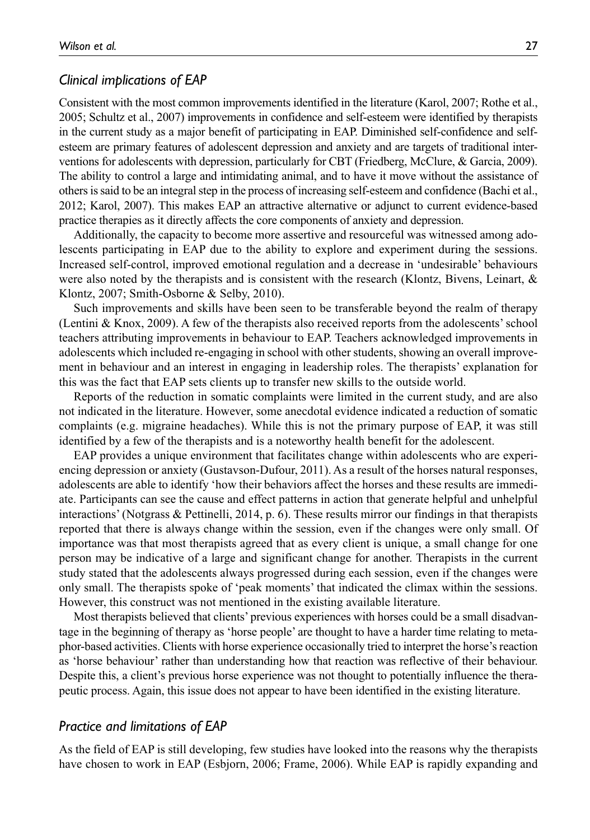### *Clinical implications of EAP*

Consistent with the most common improvements identified in the literature (Karol, 2007; Rothe et al., 2005; Schultz et al., 2007) improvements in confidence and self-esteem were identified by therapists in the current study as a major benefit of participating in EAP. Diminished self-confidence and selfesteem are primary features of adolescent depression and anxiety and are targets of traditional interventions for adolescents with depression, particularly for CBT (Friedberg, McClure, & Garcia, 2009). The ability to control a large and intimidating animal, and to have it move without the assistance of others is said to be an integral step in the process of increasing self-esteem and confidence (Bachi et al., 2012; Karol, 2007). This makes EAP an attractive alternative or adjunct to current evidence-based practice therapies as it directly affects the core components of anxiety and depression.

Additionally, the capacity to become more assertive and resourceful was witnessed among adolescents participating in EAP due to the ability to explore and experiment during the sessions. Increased self-control, improved emotional regulation and a decrease in 'undesirable' behaviours were also noted by the therapists and is consistent with the research (Klontz, Bivens, Leinart, & Klontz, 2007; Smith-Osborne & Selby, 2010).

Such improvements and skills have been seen to be transferable beyond the realm of therapy (Lentini & Knox, 2009). A few of the therapists also received reports from the adolescents' school teachers attributing improvements in behaviour to EAP. Teachers acknowledged improvements in adolescents which included re-engaging in school with other students, showing an overall improvement in behaviour and an interest in engaging in leadership roles. The therapists' explanation for this was the fact that EAP sets clients up to transfer new skills to the outside world.

Reports of the reduction in somatic complaints were limited in the current study, and are also not indicated in the literature. However, some anecdotal evidence indicated a reduction of somatic complaints (e.g. migraine headaches). While this is not the primary purpose of EAP, it was still identified by a few of the therapists and is a noteworthy health benefit for the adolescent.

EAP provides a unique environment that facilitates change within adolescents who are experiencing depression or anxiety (Gustavson-Dufour, 2011). As a result of the horses natural responses, adolescents are able to identify 'how their behaviors affect the horses and these results are immediate. Participants can see the cause and effect patterns in action that generate helpful and unhelpful interactions' (Notgrass & Pettinelli, 2014, p. 6). These results mirror our findings in that therapists reported that there is always change within the session, even if the changes were only small. Of importance was that most therapists agreed that as every client is unique, a small change for one person may be indicative of a large and significant change for another. Therapists in the current study stated that the adolescents always progressed during each session, even if the changes were only small. The therapists spoke of 'peak moments' that indicated the climax within the sessions. However, this construct was not mentioned in the existing available literature.

Most therapists believed that clients' previous experiences with horses could be a small disadvantage in the beginning of therapy as 'horse people' are thought to have a harder time relating to metaphor-based activities. Clients with horse experience occasionally tried to interpret the horse's reaction as 'horse behaviour' rather than understanding how that reaction was reflective of their behaviour. Despite this, a client's previous horse experience was not thought to potentially influence the therapeutic process. Again, this issue does not appear to have been identified in the existing literature.

### *Practice and limitations of EAP*

As the field of EAP is still developing, few studies have looked into the reasons why the therapists have chosen to work in EAP (Esbjorn, 2006; Frame, 2006). While EAP is rapidly expanding and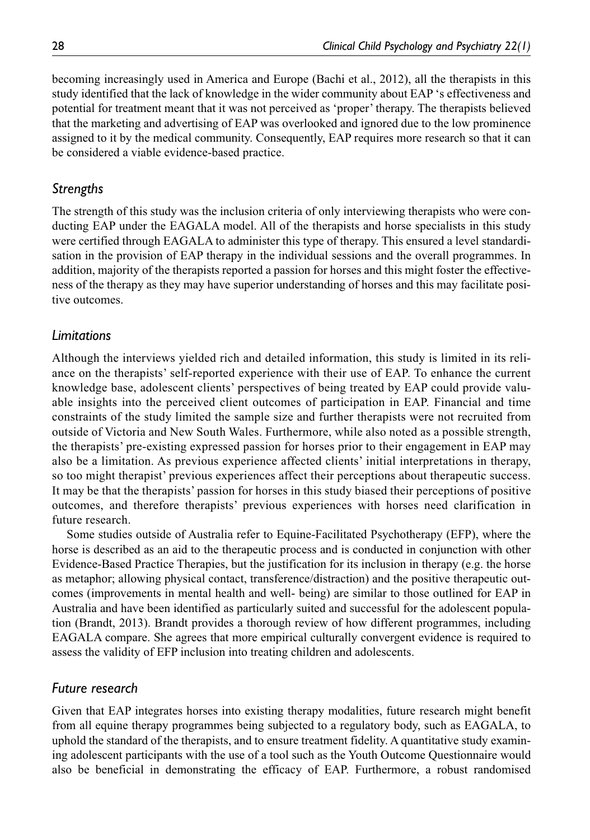becoming increasingly used in America and Europe (Bachi et al., 2012), all the therapists in this study identified that the lack of knowledge in the wider community about EAP 's effectiveness and potential for treatment meant that it was not perceived as 'proper' therapy. The therapists believed that the marketing and advertising of EAP was overlooked and ignored due to the low prominence assigned to it by the medical community. Consequently, EAP requires more research so that it can be considered a viable evidence-based practice.

# *Strengths*

The strength of this study was the inclusion criteria of only interviewing therapists who were conducting EAP under the EAGALA model. All of the therapists and horse specialists in this study were certified through EAGALA to administer this type of therapy. This ensured a level standardisation in the provision of EAP therapy in the individual sessions and the overall programmes. In addition, majority of the therapists reported a passion for horses and this might foster the effectiveness of the therapy as they may have superior understanding of horses and this may facilitate positive outcomes.

# *Limitations*

Although the interviews yielded rich and detailed information, this study is limited in its reliance on the therapists' self-reported experience with their use of EAP. To enhance the current knowledge base, adolescent clients' perspectives of being treated by EAP could provide valuable insights into the perceived client outcomes of participation in EAP. Financial and time constraints of the study limited the sample size and further therapists were not recruited from outside of Victoria and New South Wales. Furthermore, while also noted as a possible strength, the therapists' pre-existing expressed passion for horses prior to their engagement in EAP may also be a limitation. As previous experience affected clients' initial interpretations in therapy, so too might therapist' previous experiences affect their perceptions about therapeutic success. It may be that the therapists' passion for horses in this study biased their perceptions of positive outcomes, and therefore therapists' previous experiences with horses need clarification in future research.

Some studies outside of Australia refer to Equine-Facilitated Psychotherapy (EFP), where the horse is described as an aid to the therapeutic process and is conducted in conjunction with other Evidence-Based Practice Therapies, but the justification for its inclusion in therapy (e.g. the horse as metaphor; allowing physical contact, transference/distraction) and the positive therapeutic outcomes (improvements in mental health and well- being) are similar to those outlined for EAP in Australia and have been identified as particularly suited and successful for the adolescent population (Brandt, 2013). Brandt provides a thorough review of how different programmes, including EAGALA compare. She agrees that more empirical culturally convergent evidence is required to assess the validity of EFP inclusion into treating children and adolescents.

# *Future research*

Given that EAP integrates horses into existing therapy modalities, future research might benefit from all equine therapy programmes being subjected to a regulatory body, such as EAGALA, to uphold the standard of the therapists, and to ensure treatment fidelity. A quantitative study examining adolescent participants with the use of a tool such as the Youth Outcome Questionnaire would also be beneficial in demonstrating the efficacy of EAP. Furthermore, a robust randomised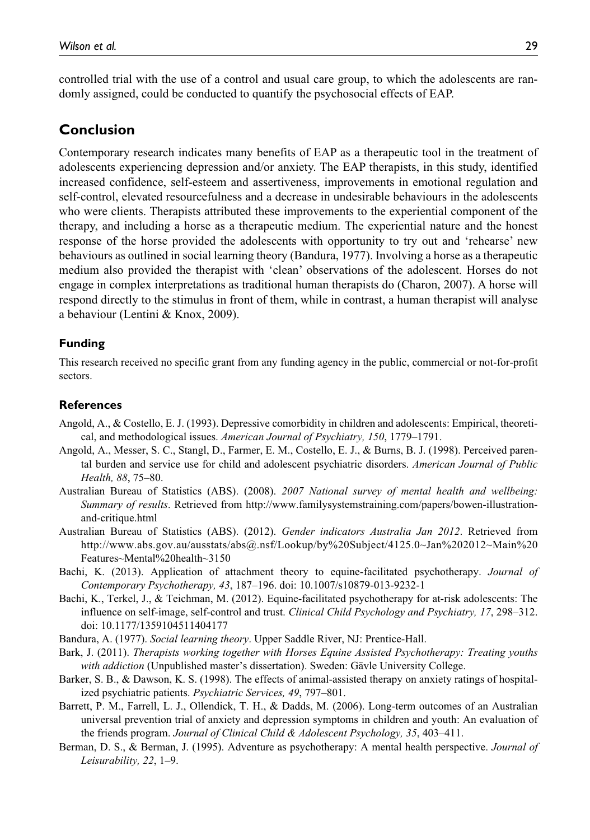controlled trial with the use of a control and usual care group, to which the adolescents are randomly assigned, could be conducted to quantify the psychosocial effects of EAP.

# **Conclusion**

Contemporary research indicates many benefits of EAP as a therapeutic tool in the treatment of adolescents experiencing depression and/or anxiety. The EAP therapists, in this study, identified increased confidence, self-esteem and assertiveness, improvements in emotional regulation and self-control, elevated resourcefulness and a decrease in undesirable behaviours in the adolescents who were clients. Therapists attributed these improvements to the experiential component of the therapy, and including a horse as a therapeutic medium. The experiential nature and the honest response of the horse provided the adolescents with opportunity to try out and 'rehearse' new behaviours as outlined in social learning theory (Bandura, 1977). Involving a horse as a therapeutic medium also provided the therapist with 'clean' observations of the adolescent. Horses do not engage in complex interpretations as traditional human therapists do (Charon, 2007). A horse will respond directly to the stimulus in front of them, while in contrast, a human therapist will analyse a behaviour (Lentini & Knox, 2009).

#### **Funding**

This research received no specific grant from any funding agency in the public, commercial or not-for-profit sectors.

#### **References**

- Angold, A., & Costello, E. J. (1993). Depressive comorbidity in children and adolescents: Empirical, theoretical, and methodological issues. *American Journal of Psychiatry, 150*, 1779–1791.
- Angold, A., Messer, S. C., Stangl, D., Farmer, E. M., Costello, E. J., & Burns, B. J. (1998). Perceived parental burden and service use for child and adolescent psychiatric disorders. *American Journal of Public Health, 88*, 75–80.
- Australian Bureau of Statistics (ABS). (2008). *2007 National survey of mental health and wellbeing: Summary of results*. Retrieved from [http://www.familysystemstraining.com/papers/bowen-illustration](http://www.familysystemstraining.com/papers/bowen-illustration-and-critique.html)[and-critique.html](http://www.familysystemstraining.com/papers/bowen-illustration-and-critique.html)
- Australian Bureau of Statistics (ABS). (2012). *Gender indicators Australia Jan 2012*. Retrieved from [http://www.abs.gov.au/ausstats/abs@.nsf/Lookup/by%20Subject/4125.0~Jan%202012~Main%20](http://www.abs.gov.au/ausstats/abs@.nsf/Lookup/by%20Subject/4125.0~Jan%202012~Main%20Features~Mental%20health~3150) [Features~Mental%20health~3150](http://www.abs.gov.au/ausstats/abs@.nsf/Lookup/by%20Subject/4125.0~Jan%202012~Main%20Features~Mental%20health~3150)
- Bachi, K. (2013). Application of attachment theory to equine-facilitated psychotherapy. *Journal of Contemporary Psychotherapy, 43*, 187–196. doi: 10.1007/s10879-013-9232-1
- Bachi, K., Terkel, J., & Teichman, M. (2012). Equine-facilitated psychotherapy for at-risk adolescents: The influence on self-image, self-control and trust. *Clinical Child Psychology and Psychiatry, 17*, 298–312. doi: 10.1177/1359104511404177
- Bandura, A. (1977). *Social learning theory*. Upper Saddle River, NJ: Prentice-Hall.
- Bark, J. (2011). *Therapists working together with Horses Equine Assisted Psychotherapy: Treating youths with addiction* (Unpublished master's dissertation). Sweden: Gävle University College.
- Barker, S. B., & Dawson, K. S. (1998). The effects of animal-assisted therapy on anxiety ratings of hospitalized psychiatric patients. *Psychiatric Services, 49*, 797–801.
- Barrett, P. M., Farrell, L. J., Ollendick, T. H., & Dadds, M. (2006). Long-term outcomes of an Australian universal prevention trial of anxiety and depression symptoms in children and youth: An evaluation of the friends program. *Journal of Clinical Child & Adolescent Psychology, 35*, 403–411.
- Berman, D. S., & Berman, J. (1995). Adventure as psychotherapy: A mental health perspective. *Journal of Leisurability, 22*, 1–9.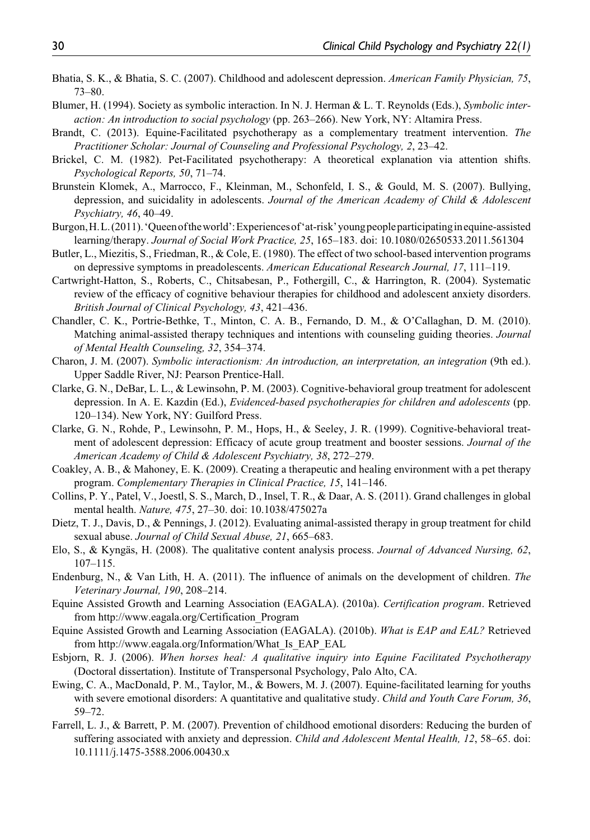- Bhatia, S. K., & Bhatia, S. C. (2007). Childhood and adolescent depression. *American Family Physician, 75*, 73–80.
- Blumer, H. (1994). Society as symbolic interaction. In N. J. Herman & L. T. Reynolds (Eds.), *Symbolic interaction: An introduction to social psychology* (pp. 263–266). New York, NY: Altamira Press.
- Brandt, C. (2013). Equine-Facilitated psychotherapy as a complementary treatment intervention. *The Practitioner Scholar: Journal of Counseling and Professional Psychology, 2*, 23–42.
- Brickel, C. M. (1982). Pet-Facilitated psychotherapy: A theoretical explanation via attention shifts. *Psychological Reports, 50*, 71–74.
- Brunstein Klomek, A., Marrocco, F., Kleinman, M., Schonfeld, I. S., & Gould, M. S. (2007). Bullying, depression, and suicidality in adolescents. *Journal of the American Academy of Child & Adolescent Psychiatry, 46*, 40–49.
- Burgon, H. L. (2011). 'Queen of the world': Experiences of 'at-risk' young people participating in equine-assisted learning/therapy. *Journal of Social Work Practice, 25*, 165–183. doi: 10.1080/02650533.2011.561304
- Butler, L., Miezitis, S., Friedman, R., & Cole, E. (1980). The effect of two school-based intervention programs on depressive symptoms in preadolescents. *American Educational Research Journal, 17*, 111–119.
- Cartwright-Hatton, S., Roberts, C., Chitsabesan, P., Fothergill, C., & Harrington, R. (2004). Systematic review of the efficacy of cognitive behaviour therapies for childhood and adolescent anxiety disorders. *British Journal of Clinical Psychology, 43*, 421–436.
- Chandler, C. K., Portrie-Bethke, T., Minton, C. A. B., Fernando, D. M., & O'Callaghan, D. M. (2010). Matching animal-assisted therapy techniques and intentions with counseling guiding theories. *Journal of Mental Health Counseling, 32*, 354–374.
- Charon, J. M. (2007). *Symbolic interactionism: An introduction, an interpretation, an integration* (9th ed.). Upper Saddle River, NJ: Pearson Prentice-Hall.
- Clarke, G. N., DeBar, L. L., & Lewinsohn, P. M. (2003). Cognitive-behavioral group treatment for adolescent depression. In A. E. Kazdin (Ed.), *Evidenced-based psychotherapies for children and adolescents* (pp. 120–134). New York, NY: Guilford Press.
- Clarke, G. N., Rohde, P., Lewinsohn, P. M., Hops, H., & Seeley, J. R. (1999). Cognitive-behavioral treatment of adolescent depression: Efficacy of acute group treatment and booster sessions. *Journal of the American Academy of Child & Adolescent Psychiatry, 38*, 272–279.
- Coakley, A. B., & Mahoney, E. K. (2009). Creating a therapeutic and healing environment with a pet therapy program. *Complementary Therapies in Clinical Practice, 15*, 141–146.
- Collins, P. Y., Patel, V., Joestl, S. S., March, D., Insel, T. R., & Daar, A. S. (2011). Grand challenges in global mental health. *Nature, 475*, 27–30. doi: 10.1038/475027a
- Dietz, T. J., Davis, D., & Pennings, J. (2012). Evaluating animal-assisted therapy in group treatment for child sexual abuse. *Journal of Child Sexual Abuse, 21*, 665–683.
- Elo, S., & Kyngäs, H. (2008). The qualitative content analysis process. *Journal of Advanced Nursing, 62*, 107–115.
- Endenburg, N., & Van Lith, H. A. (2011). The influence of animals on the development of children. *The Veterinary Journal, 190*, 208–214.
- Equine Assisted Growth and Learning Association (EAGALA). (2010a). *Certification program*. Retrieved from [http://www.eagala.org/Certification\\_Program](http://www.eagala.org/Certification_Program)
- Equine Assisted Growth and Learning Association (EAGALA). (2010b). *What is EAP and EAL?* Retrieved from [http://www.eagala.org/Information/What\\_Is\\_EAP\\_EAL](http://www.eagala.org/Information/What_Is_EAP_EAL)
- Esbjorn, R. J. (2006). *When horses heal: A qualitative inquiry into Equine Facilitated Psychotherapy* (Doctoral dissertation). Institute of Transpersonal Psychology, Palo Alto, CA.
- Ewing, C. A., MacDonald, P. M., Taylor, M., & Bowers, M. J. (2007). Equine-facilitated learning for youths with severe emotional disorders: A quantitative and qualitative study. *Child and Youth Care Forum, 36*, 59–72.
- Farrell, L. J., & Barrett, P. M. (2007). Prevention of childhood emotional disorders: Reducing the burden of suffering associated with anxiety and depression. *Child and Adolescent Mental Health, 12*, 58–65. doi: 10.1111/j.1475-3588.2006.00430.x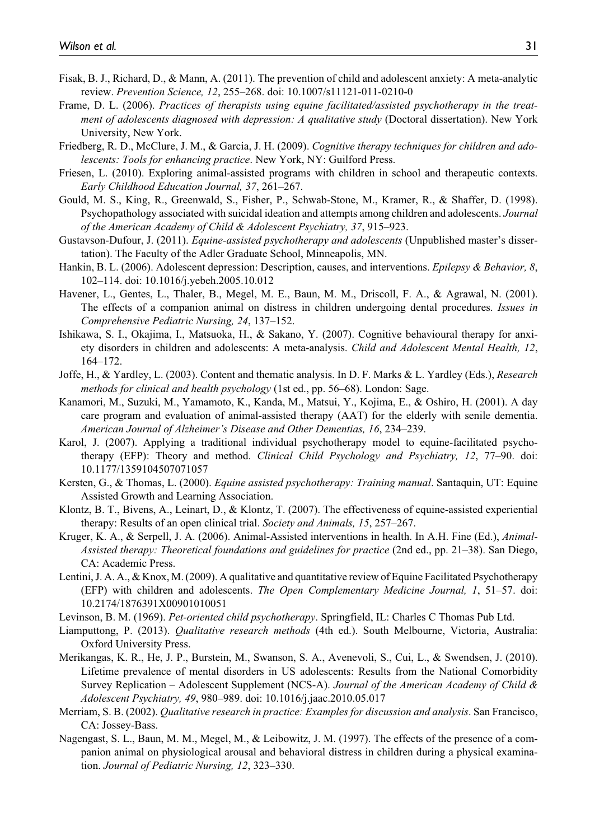- Fisak, B. J., Richard, D., & Mann, A. (2011). The prevention of child and adolescent anxiety: A meta-analytic review. *Prevention Science, 12*, 255–268. doi: 10.1007/s11121-011-0210-0
- Frame, D. L. (2006). *Practices of therapists using equine facilitated/assisted psychotherapy in the treatment of adolescents diagnosed with depression: A qualitative study* (Doctoral dissertation). New York University, New York.
- Friedberg, R. D., McClure, J. M., & Garcia, J. H. (2009). *Cognitive therapy techniques for children and adolescents: Tools for enhancing practice*. New York, NY: Guilford Press.
- Friesen, L. (2010). Exploring animal-assisted programs with children in school and therapeutic contexts. *Early Childhood Education Journal, 37*, 261–267.
- Gould, M. S., King, R., Greenwald, S., Fisher, P., Schwab-Stone, M., Kramer, R., & Shaffer, D. (1998). Psychopathology associated with suicidal ideation and attempts among children and adolescents. *Journal of the American Academy of Child & Adolescent Psychiatry, 37*, 915–923.
- Gustavson-Dufour, J. (2011). *Equine-assisted psychotherapy and adolescents* (Unpublished master's dissertation). The Faculty of the Adler Graduate School, Minneapolis, MN.
- Hankin, B. L. (2006). Adolescent depression: Description, causes, and interventions. *Epilepsy & Behavior, 8*, 102–114. doi: 10.1016/j.yebeh.2005.10.012
- Havener, L., Gentes, L., Thaler, B., Megel, M. E., Baun, M. M., Driscoll, F. A., & Agrawal, N. (2001). The effects of a companion animal on distress in children undergoing dental procedures. *Issues in Comprehensive Pediatric Nursing, 24*, 137–152.
- Ishikawa, S. I., Okajima, I., Matsuoka, H., & Sakano, Y. (2007). Cognitive behavioural therapy for anxiety disorders in children and adolescents: A meta-analysis. *Child and Adolescent Mental Health, 12*, 164–172.
- Joffe, H., & Yardley, L. (2003). Content and thematic analysis. In D. F. Marks & L. Yardley (Eds.), *Research methods for clinical and health psychology* (1st ed., pp. 56–68). London: Sage.
- Kanamori, M., Suzuki, M., Yamamoto, K., Kanda, M., Matsui, Y., Kojima, E., & Oshiro, H. (2001). A day care program and evaluation of animal-assisted therapy (AAT) for the elderly with senile dementia. *American Journal of Alzheimer's Disease and Other Dementias, 16*, 234–239.
- Karol, J. (2007). Applying a traditional individual psychotherapy model to equine-facilitated psychotherapy (EFP): Theory and method. *Clinical Child Psychology and Psychiatry, 12*, 77–90. doi: 10.1177/1359104507071057
- Kersten, G., & Thomas, L. (2000). *Equine assisted psychotherapy: Training manual*. Santaquin, UT: Equine Assisted Growth and Learning Association.
- Klontz, B. T., Bivens, A., Leinart, D., & Klontz, T. (2007). The effectiveness of equine-assisted experiential therapy: Results of an open clinical trial. *Society and Animals, 15*, 257–267.
- Kruger, K. A., & Serpell, J. A. (2006). Animal-Assisted interventions in health. In A.H. Fine (Ed.), *Animal-Assisted therapy: Theoretical foundations and guidelines for practice* (2nd ed., pp. 21–38). San Diego, CA: Academic Press.
- Lentini, J. A. A., & Knox, M. (2009). A qualitative and quantitative review of Equine Facilitated Psychotherapy (EFP) with children and adolescents. *The Open Complementary Medicine Journal, 1*, 51–57. doi: 10.2174/1876391X00901010051
- Levinson, B. M. (1969). *Pet-oriented child psychotherapy*. Springfield, IL: Charles C Thomas Pub Ltd.
- Liamputtong, P. (2013). *Qualitative research methods* (4th ed.). South Melbourne, Victoria, Australia: Oxford University Press.
- Merikangas, K. R., He, J. P., Burstein, M., Swanson, S. A., Avenevoli, S., Cui, L., & Swendsen, J. (2010). Lifetime prevalence of mental disorders in US adolescents: Results from the National Comorbidity Survey Replication – Adolescent Supplement (NCS-A). *Journal of the American Academy of Child & Adolescent Psychiatry, 49*, 980–989. doi: 10.1016/j.jaac.2010.05.017
- Merriam, S. B. (2002). *Qualitative research in practice: Examples for discussion and analysis*. San Francisco, CA: Jossey-Bass.
- Nagengast, S. L., Baun, M. M., Megel, M., & Leibowitz, J. M. (1997). The effects of the presence of a companion animal on physiological arousal and behavioral distress in children during a physical examination. *Journal of Pediatric Nursing, 12*, 323–330.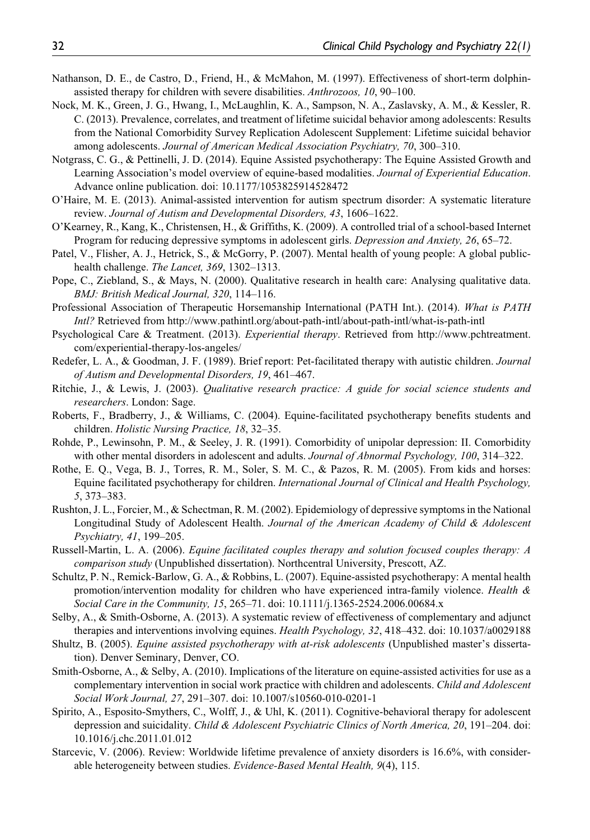- Nathanson, D. E., de Castro, D., Friend, H., & McMahon, M. (1997). Effectiveness of short-term dolphinassisted therapy for children with severe disabilities. *Anthrozoos, 10*, 90–100.
- Nock, M. K., Green, J. G., Hwang, I., McLaughlin, K. A., Sampson, N. A., Zaslavsky, A. M., & Kessler, R. C. (2013). Prevalence, correlates, and treatment of lifetime suicidal behavior among adolescents: Results from the National Comorbidity Survey Replication Adolescent Supplement: Lifetime suicidal behavior among adolescents. *Journal of American Medical Association Psychiatry, 70*, 300–310.
- Notgrass, C. G., & Pettinelli, J. D. (2014). Equine Assisted psychotherapy: The Equine Assisted Growth and Learning Association's model overview of equine-based modalities. *Journal of Experiential Education*. Advance online publication. doi: 10.1177/1053825914528472
- O'Haire, M. E. (2013). Animal-assisted intervention for autism spectrum disorder: A systematic literature review. *Journal of Autism and Developmental Disorders, 43*, 1606–1622.
- O'Kearney, R., Kang, K., Christensen, H., & Griffiths, K. (2009). A controlled trial of a school-based Internet Program for reducing depressive symptoms in adolescent girls. *Depression and Anxiety, 26*, 65–72.
- Patel, V., Flisher, A. J., Hetrick, S., & McGorry, P. (2007). Mental health of young people: A global publichealth challenge. *The Lancet, 369*, 1302–1313.
- Pope, C., Ziebland, S., & Mays, N. (2000). Qualitative research in health care: Analysing qualitative data. *BMJ: British Medical Journal, 320*, 114–116.
- Professional Association of Therapeutic Horsemanship International (PATH Int.). (2014). *What is PATH Intl?* Retrieved from <http://www.pathintl.org/about-path-intl/about-path-intl/what-is-path-intl>
- Psychological Care & Treatment. (2013). *Experiential therapy*. Retrieved from [http://www.pchtreatment.](http://www.pchtreatment.com/experiential-therapy-los-angeles/) [com/experiential-therapy-los-angeles/](http://www.pchtreatment.com/experiential-therapy-los-angeles/)
- Redefer, L. A., & Goodman, J. F. (1989). Brief report: Pet-facilitated therapy with autistic children. *Journal of Autism and Developmental Disorders, 19*, 461–467.
- Ritchie, J., & Lewis, J. (2003). *Qualitative research practice: A guide for social science students and researchers*. London: Sage.
- Roberts, F., Bradberry, J., & Williams, C. (2004). Equine-facilitated psychotherapy benefits students and children. *Holistic Nursing Practice, 18*, 32–35.
- Rohde, P., Lewinsohn, P. M., & Seeley, J. R. (1991). Comorbidity of unipolar depression: II. Comorbidity with other mental disorders in adolescent and adults. *Journal of Abnormal Psychology, 100*, 314–322.
- Rothe, E. Q., Vega, B. J., Torres, R. M., Soler, S. M. C., & Pazos, R. M. (2005). From kids and horses: Equine facilitated psychotherapy for children. *International Journal of Clinical and Health Psychology, 5*, 373–383.
- Rushton, J. L., Forcier, M., & Schectman, R. M. (2002). Epidemiology of depressive symptoms in the National Longitudinal Study of Adolescent Health. *Journal of the American Academy of Child & Adolescent Psychiatry, 41*, 199–205.
- Russell-Martin, L. A. (2006). *Equine facilitated couples therapy and solution focused couples therapy: A comparison study* (Unpublished dissertation). Northcentral University, Prescott, AZ.
- Schultz, P. N., Remick-Barlow, G. A., & Robbins, L. (2007). Equine-assisted psychotherapy: A mental health promotion/intervention modality for children who have experienced intra-family violence. *Health & Social Care in the Community, 15*, 265–71. doi: 10.1111/j.1365-2524.2006.00684.x
- Selby, A., & Smith-Osborne, A. (2013). A systematic review of effectiveness of complementary and adjunct therapies and interventions involving equines. *Health Psychology, 32*, 418–432. doi: 10.1037/a0029188
- Shultz, B. (2005). *Equine assisted psychotherapy with at-risk adolescents* (Unpublished master's dissertation). Denver Seminary, Denver, CO.
- Smith-Osborne, A., & Selby, A. (2010). Implications of the literature on equine-assisted activities for use as a complementary intervention in social work practice with children and adolescents. *Child and Adolescent Social Work Journal, 27*, 291–307. doi: 10.1007/s10560-010-0201-1
- Spirito, A., Esposito-Smythers, C., Wolff, J., & Uhl, K. (2011). Cognitive-behavioral therapy for adolescent depression and suicidality. *Child & Adolescent Psychiatric Clinics of North America, 20*, 191–204. doi: 10.1016/j.chc.2011.01.012
- Starcevic, V. (2006). Review: Worldwide lifetime prevalence of anxiety disorders is 16.6%, with considerable heterogeneity between studies. *Evidence-Based Mental Health, 9*(4), 115.